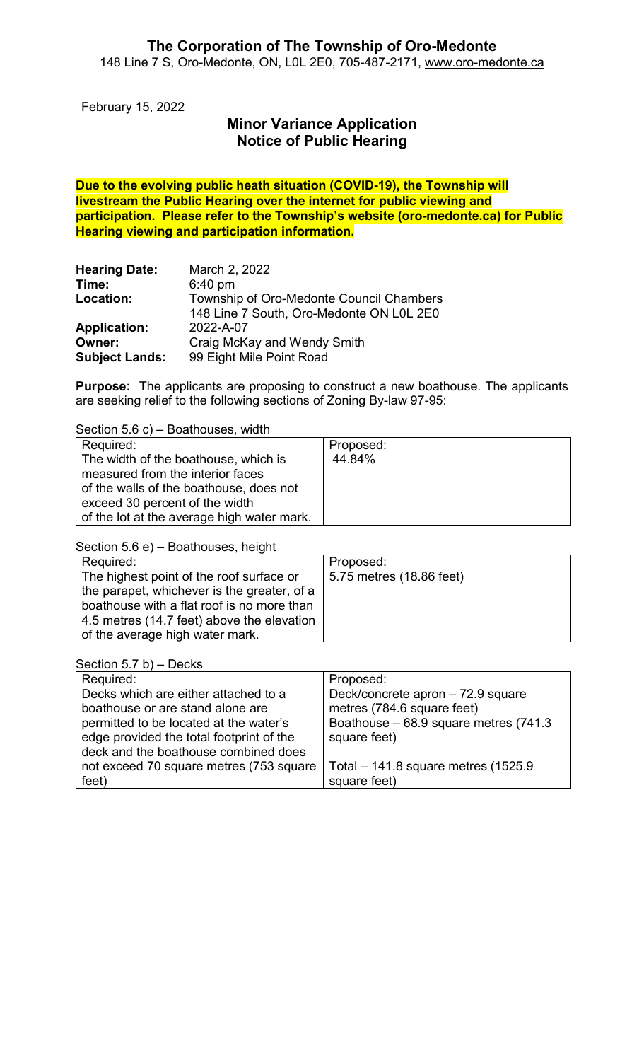February 15, 2022

# Minor Variance Application Notice of Public Hearing

Due to the evolving public heath situation (COVID-19), the Township will livestream the Public Hearing over the internet for public viewing and participation. Please refer to the Township's website (oro-medonte.ca) for Public Hearing viewing and participation information.

| <b>Hearing Date:</b>  | March 2, 2022                            |
|-----------------------|------------------------------------------|
| Time:                 | $6:40$ pm                                |
| Location:             | Township of Oro-Medonte Council Chambers |
|                       | 148 Line 7 South, Oro-Medonte ON L0L 2E0 |
| <b>Application:</b>   | 2022-A-07                                |
| Owner:                | Craig McKay and Wendy Smith              |
| <b>Subject Lands:</b> | 99 Eight Mile Point Road                 |

Purpose: The applicants are proposing to construct a new boathouse. The applicants are seeking relief to the following sections of Zoning By-law 97-95:

Section 5.6 c) – Boathouses, width

| Required:                                                                | Proposed: |
|--------------------------------------------------------------------------|-----------|
| The width of the boathouse, which is<br>measured from the interior faces | 44.84%    |
| of the walls of the boathouse, does not                                  |           |
| exceed 30 percent of the width                                           |           |
| of the lot at the average high water mark.                               |           |

Section 5.6 e) – Boathouses, height

| Required:                                   | Proposed:                |
|---------------------------------------------|--------------------------|
| The highest point of the roof surface or    | 5.75 metres (18.86 feet) |
| the parapet, whichever is the greater, of a |                          |
| boathouse with a flat roof is no more than  |                          |
| 4.5 metres (14.7 feet) above the elevation  |                          |
| of the average high water mark.             |                          |

| Section 5.7 b) $-$ Decks                 |                                       |
|------------------------------------------|---------------------------------------|
| Required:                                | Proposed:                             |
| Decks which are either attached to a     | Deck/concrete apron - 72.9 square     |
| boathouse or are stand alone are         | metres (784.6 square feet)            |
| permitted to be located at the water's   | Boathouse - 68.9 square metres (741.3 |
| edge provided the total footprint of the | square feet)                          |
| deck and the boathouse combined does     |                                       |
| not exceed 70 square metres (753 square  | Total $-$ 141.8 square metres (1525.9 |
| feet)                                    | square feet)                          |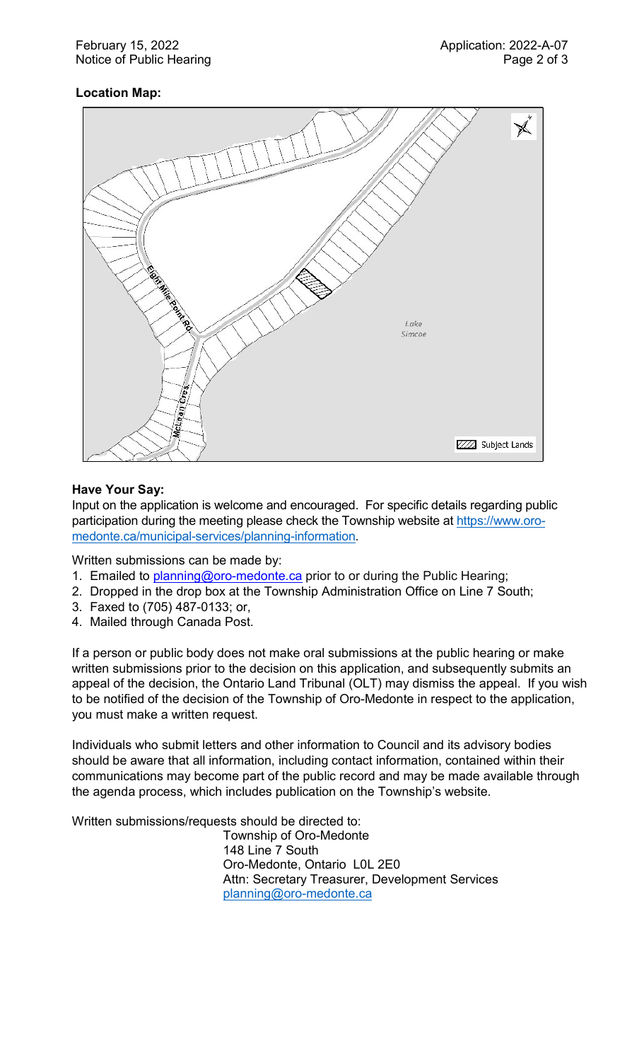# Location Map:



## Have Your Say:

Input on the application is welcome and encouraged. For specific details regarding public participation during the meeting please check the Township website at https://www.oromedonte.ca/municipal-services/planning-information.

Written submissions can be made by:

- 1. Emailed to **planning@oro-medonte.ca** prior to or during the Public Hearing;
- 2. Dropped in the drop box at the Township Administration Office on Line 7 South;
- 3. Faxed to (705) 487-0133; or,
- 4. Mailed through Canada Post.

If a person or public body does not make oral submissions at the public hearing or make written submissions prior to the decision on this application, and subsequently submits an appeal of the decision, the Ontario Land Tribunal (OLT) may dismiss the appeal. If you wish to be notified of the decision of the Township of Oro-Medonte in respect to the application, you must make a written request.

Individuals who submit letters and other information to Council and its advisory bodies should be aware that all information, including contact information, contained within their communications may become part of the public record and may be made available through the agenda process, which includes publication on the Township's website.

Written submissions/requests should be directed to:

Township of Oro-Medonte 148 Line 7 South Oro-Medonte, Ontario L0L 2E0 Attn: Secretary Treasurer, Development Services planning@oro-medonte.ca